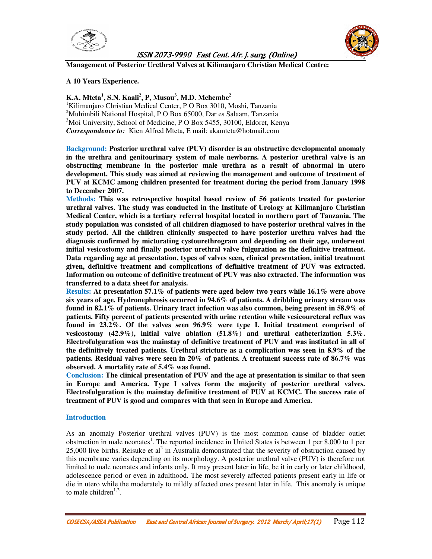



**Management of Posterior Urethral Valves at Kilimanjaro Christian Medical Centre:** 

### **A 10 Years Experience.**

### **K.A. Mteta<sup>1</sup> , S.N. Kaali<sup>2</sup> , P, Musau<sup>3</sup> , M.D. Mchembe<sup>2</sup>**

<sup>1</sup>Kilimanjaro Christian Medical Center, P O Box 3010, Moshi, Tanzania <sup>2</sup>Muhimbili National Hospital, P O Box 65000, Dar es Salaam, Tanzania <sup>3</sup>Moi University, School of Medicine, P O Box 5455, 30100, Eldoret, Kenya *Correspondence to:*Kien Alfred Mteta, E mail: akamteta@hotmail.com

**Background: Posterior urethral valve (PUV) disorder is an obstructive developmental anomaly in the urethra and genitourinary system of male newborns. A posterior urethral valve is an obstructing membrane in the posterior male urethra as a result of abnormal in utero development. This study was aimed at reviewing the management and outcome of treatment of PUV at KCMC among children presented for treatment during the period from January 1998 to December 2007.** 

**Methods: This was retrospective hospital based review of 56 patients treated for posterior urethral valves. The study was conducted in the Institute of Urology at Kilimanjaro Christian Medical Center, which is a tertiary referral hospital located in northern part of Tanzania. The study population was consisted of all children diagnosed to have posterior urethral valves in the study period. All the children clinically suspected to have posterior urethra valves had the diagnosis confirmed by micturating cystourethrogram and depending on their age, underwent initial vesicostomy and finally posterior urethral valve fulguration as the definitive treatment. Data regarding age at presentation, types of valves seen, clinical presentation, initial treatment given, definitive treatment and complications of definitive treatment of PUV was extracted. Information on outcome of definitive treatment of PUV was also extracted. The information was transferred to a data sheet for analysis.** 

**Results: At presentation 57.1% of patients were aged below two years while 16.1% were above six years of age. Hydronephrosis occurred in 94.6% of patients. A dribbling urinary stream was found in 82.1% of patients. Urinary tract infection was also common, being present in 58.9% of patients. Fifty percent of patients presented with urine retention while vesicoureteral reflux was found in 23.2%. Of the valves seen 96.9% were type I. Initial treatment comprised of vesicostomy (42.9%), initial valve ablation (51.8%) and urethral catheterization 5.3%. Electrofulguration was the mainstay of definitive treatment of PUV and was instituted in all of the definitively treated patients. Urethral stricture as a complication was seen in 8.9% of the patients. Residual valves were seen in 20% of patients. A treatment success rate of 86.7% was observed. A mortality rate of 5.4% was found.**

**Conclusion: The clinical presentation of PUV and the age at presentation is similar to that seen in Europe and America. Type I valves form the majority of posterior urethral valves. Electrofulguration is the mainstay definitive treatment of PUV at KCMC. The success rate of treatment of PUV is good and compares with that seen in Europe and America.**

### **Introduction**

As an anomaly Posterior urethral valves (PUV) is the most common cause of bladder outlet obstruction in male neonates<sup>1</sup>. The reported incidence in United States is between 1 per 8,000 to 1 per 25,000 live births. Reisuke et al<sup>2</sup> in Australia demonstrated that the severity of obstruction caused by this membrane varies depending on its morphology. A posterior urethral valve (PUV) is therefore not limited to male neonates and infants only. It may present later in life, be it in early or later childhood, adolescence period or even in adulthood. The most severely affected patients present early in life or die in utero while the moderately to mildly affected ones present later in life. This anomaly is unique to male children<sup> $1,2$ </sup>.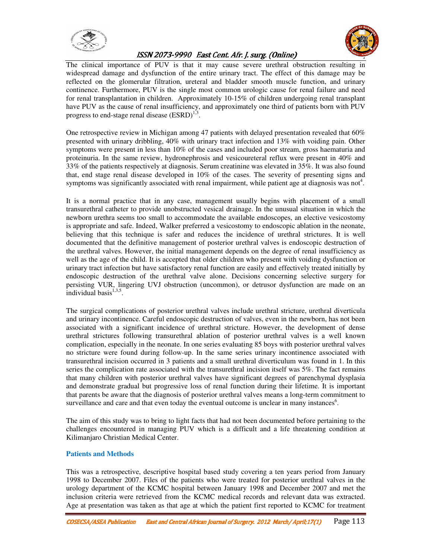



The clinical importance of PUV is that it may cause severe urethral obstruction resulting in widespread damage and dysfunction of the entire urinary tract. The effect of this damage may be reflected on the glomerular filtration, ureteral and bladder smooth muscle function, and urinary continence. Furthermore, PUV is the single most common urologic cause for renal failure and need for renal transplantation in children. Approximately 10-15% of children undergoing renal transplant have PUV as the cause of renal insufficiency, and approximately one third of patients born with PUV progress to end-stage renal disease  $(ESRD)^{1,3}$ .

One retrospective review in Michigan among 47 patients with delayed presentation revealed that 60% presented with urinary dribbling, 40% with urinary tract infection and 13% with voiding pain. Other symptoms were present in less than 10% of the cases and included poor stream, gross haematuria and proteinuria. In the same review, hydronephrosis and vesicoureteral reflux were present in 40% and 33% of the patients respectively at diagnosis. Serum creatinine was elevated in 35%. It was also found that, end stage renal disease developed in 10% of the cases. The severity of presenting signs and symptoms was significantly associated with renal impairment, while patient age at diagnosis was not $4$ .

It is a normal practice that in any case, management usually begins with placement of a small transurethral catheter to provide unobstructed vesical drainage. In the unusual situation in which the newborn urethra seems too small to accommodate the available endoscopes, an elective vesicostomy is appropriate and safe. Indeed, Walker preferred a vesicostomy to endoscopic ablation in the neonate, believing that this technique is safer and reduces the incidence of urethral strictures. It is well documented that the definitive management of posterior urethral valves is endoscopic destruction of the urethral valves. However, the initial management depends on the degree of renal insufficiency as well as the age of the child. It is accepted that older children who present with voiding dysfunction or urinary tract infection but have satisfactory renal function are easily and effectively treated initially by endoscopic destruction of the urethral valve alone. Decisions concerning selective surgery for persisting VUR, lingering UVJ obstruction (uncommon), or detrusor dysfunction are made on an individual basis $^{1,3,5}$ .

The surgical complications of posterior urethral valves include urethral stricture, urethral diverticula and urinary incontinence. Careful endoscopic destruction of valves, even in the newborn, has not been associated with a significant incidence of urethral stricture. However, the development of dense urethral strictures following transurethral ablation of posterior urethral valves is a well known complication, especially in the neonate. In one series evaluating 85 boys with posterior urethral valves no stricture were found during follow-up. In the same series urinary incontinence associated with transurethral incision occurred in 3 patients and a small urethral diverticulum was found in 1. In this series the complication rate associated with the transurethral incision itself was 5%. The fact remains that many children with posterior urethral valves have significant degrees of parenchymal dysplasia and demonstrate gradual but progressive loss of renal function during their lifetime. It is important that parents be aware that the diagnosis of posterior urethral valves means a long-term commitment to surveillance and care and that even today the eventual outcome is unclear in many instances<sup>6</sup>.

The aim of this study was to bring to light facts that had not been documented before pertaining to the challenges encountered in managing PUV which is a difficult and a life threatening condition at Kilimanjaro Christian Medical Center.

### **Patients and Methods**

This was a retrospective, descriptive hospital based study covering a ten years period from January 1998 to December 2007. Files of the patients who were treated for posterior urethral valves in the urology department of the KCMC hospital between January 1998 and December 2007 and met the inclusion criteria were retrieved from the KCMC medical records and relevant data was extracted. Age at presentation was taken as that age at which the patient first reported to KCMC for treatment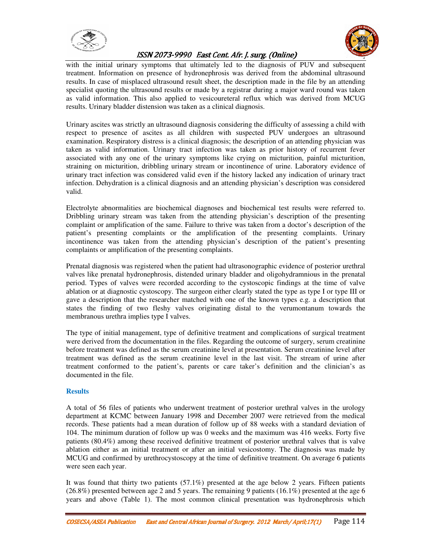



with the initial urinary symptoms that ultimately led to the diagnosis of PUV and subsequent treatment. Information on presence of hydronephrosis was derived from the abdominal ultrasound results. In case of misplaced ultrasound result sheet, the description made in the file by an attending specialist quoting the ultrasound results or made by a registrar during a major ward round was taken as valid information. This also applied to vesicoureteral reflux which was derived from MCUG results. Urinary bladder distension was taken as a clinical diagnosis.

Urinary ascites was strictly an ultrasound diagnosis considering the difficulty of assessing a child with respect to presence of ascites as all children with suspected PUV undergoes an ultrasound examination. Respiratory distress is a clinical diagnosis; the description of an attending physician was taken as valid information. Urinary tract infection was taken as prior history of recurrent fever associated with any one of the urinary symptoms like crying on micturition, painful micturition, straining on micturition, dribbling urinary stream or incontinence of urine. Laboratory evidence of urinary tract infection was considered valid even if the history lacked any indication of urinary tract infection. Dehydration is a clinical diagnosis and an attending physician's description was considered valid.

Electrolyte abnormalities are biochemical diagnoses and biochemical test results were referred to. Dribbling urinary stream was taken from the attending physician's description of the presenting complaint or amplification of the same. Failure to thrive was taken from a doctor's description of the patient's presenting complaints or the amplification of the presenting complaints. Urinary incontinence was taken from the attending physician's description of the patient's presenting complaints or amplification of the presenting complaints.

Prenatal diagnosis was registered when the patient had ultrasonographic evidence of posterior urethral valves like prenatal hydronephrosis, distended urinary bladder and oligohydramnious in the prenatal period. Types of valves were recorded according to the cystoscopic findings at the time of valve ablation or at diagnostic cystoscopy. The surgeon either clearly stated the type as type I or type III or gave a description that the researcher matched with one of the known types e.g. a description that states the finding of two fleshy valves originating distal to the verumontanum towards the membranous urethra implies type I valves.

The type of initial management, type of definitive treatment and complications of surgical treatment were derived from the documentation in the files. Regarding the outcome of surgery, serum creatinine before treatment was defined as the serum creatinine level at presentation. Serum creatinine level after treatment was defined as the serum creatinine level in the last visit. The stream of urine after treatment conformed to the patient's, parents or care taker's definition and the clinician's as documented in the file.

### **Results**

A total of 56 files of patients who underwent treatment of posterior urethral valves in the urology department at KCMC between January 1998 and December 2007 were retrieved from the medical records. These patients had a mean duration of follow up of 88 weeks with a standard deviation of 104. The minimum duration of follow up was 0 weeks and the maximum was 416 weeks. Forty five patients (80.4%) among these received definitive treatment of posterior urethral valves that is valve ablation either as an initial treatment or after an initial vesicostomy. The diagnosis was made by MCUG and confirmed by urethrocystoscopy at the time of definitive treatment. On average 6 patients were seen each year.

It was found that thirty two patients (57.1%) presented at the age below 2 years. Fifteen patients  $(26.8\%)$  presented between age 2 and 5 years. The remaining 9 patients  $(16.1\%)$  presented at the age 6 years and above (Table 1). The most common clinical presentation was hydronephrosis which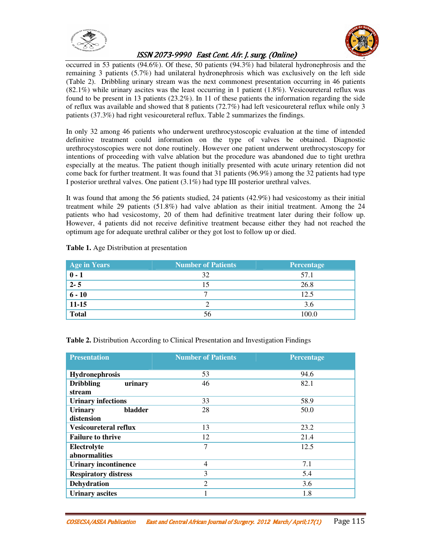



occurred in 53 patients (94.6%). Of these, 50 patients (94.3%) had bilateral hydronephrosis and the remaining 3 patients (5.7%) had unilateral hydronephrosis which was exclusively on the left side (Table 2). Dribbling urinary stream was the next commonest presentation occurring in 46 patients  $(82.1\%)$  while urinary ascites was the least occurring in 1 patient  $(1.8\%)$ . Vesicoureteral reflux was found to be present in 13 patients (23.2%). In 11 of these patients the information regarding the side of reflux was available and showed that 8 patients (72.7%) had left vesicoureteral reflux while only 3 patients (37.3%) had right vesicoureteral reflux. Table 2 summarizes the findings.

In only 32 among 46 patients who underwent urethrocystoscopic evaluation at the time of intended definitive treatment could information on the type of valves be obtained. Diagnostic urethrocystoscopies were not done routinely. However one patient underwent urethrocystoscopy for intentions of proceeding with valve ablation but the procedure was abandoned due to tight urethra especially at the meatus. The patient though initially presented with acute urinary retention did not come back for further treatment. It was found that 31 patients (96.9%) among the 32 patients had type I posterior urethral valves. One patient (3.1%) had type III posterior urethral valves.

It was found that among the 56 patients studied, 24 patients (42.9%) had vesicostomy as their initial treatment while 29 patients (51.8%) had valve ablation as their initial treatment. Among the 24 patients who had vesicostomy, 20 of them had definitive treatment later during their follow up. However, 4 patients did not receive definitive treatment because either they had not reached the optimum age for adequate urethral caliber or they got lost to follow up or died.

| <b>Age in Years</b>                  | <b>Number of Patients</b> | Percentage |
|--------------------------------------|---------------------------|------------|
| $\overline{\mathbf{0} - \mathbf{1}}$ | 32                        | 57.1       |
| $\overline{2-5}$                     | 15                        | 26.8       |
| $6 - 10$                             |                           | 12.5       |
| $11 - 15$                            |                           | 3.6        |
| <b>Total</b>                         | 56                        | 100.0      |

### **Table 1.** Age Distribution at presentation

| Table 2. Distribution According to Clinical Presentation and Investigation Findings |  |  |
|-------------------------------------------------------------------------------------|--|--|
|-------------------------------------------------------------------------------------|--|--|

| <b>Presentation</b>          | <b>Number of Patients</b> | Percentage |  |  |
|------------------------------|---------------------------|------------|--|--|
|                              |                           |            |  |  |
| Hydronephrosis               | 53                        | 94.6       |  |  |
| <b>Dribbling</b><br>urinary  | 46                        | 82.1       |  |  |
| stream                       |                           |            |  |  |
| <b>Urinary infections</b>    | 33                        | 58.9       |  |  |
| bladder<br><b>Urinary</b>    | 28                        | 50.0       |  |  |
| distension                   |                           |            |  |  |
| <b>Vesicoureteral reflux</b> | 13                        | 23.2       |  |  |
| <b>Failure to thrive</b>     | 12                        | 21.4       |  |  |
| Electrolyte                  | 7                         | 12.5       |  |  |
| abnormalities                |                           |            |  |  |
| <b>Urinary incontinence</b>  | 4                         | 7.1        |  |  |
| <b>Respiratory distress</b>  | 3                         | 5.4        |  |  |
| <b>Dehydration</b>           | 2                         | 3.6        |  |  |
| <b>Urinary ascites</b>       |                           | 1.8        |  |  |

COSECSA/ASEA Publication East and Central African Journal of Surgery. 2012 March/ April;17(1) Page 115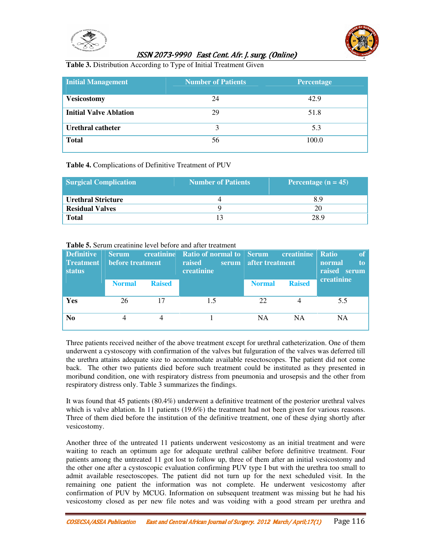



**Table 3.** Distribution According to Type of Initial Treatment Given

| <b>Initial Management</b>     | <b>Number of Patients</b> | Percentage |
|-------------------------------|---------------------------|------------|
| <b>Vesicostomy</b>            | 24                        | 42.9       |
| <b>Initial Valve Ablation</b> | 29                        | 51.8       |
| Urethral catheter             | 3                         | 5.3        |
| <b>Total</b>                  | 56                        | 100.0      |

### **Table 4.** Complications of Definitive Treatment of PUV

| <b>Surgical Complication</b> | Number of Patients | Percentage $(n = 45)$ |
|------------------------------|--------------------|-----------------------|
| <b>Urethral Stricture</b>    |                    | 8.9                   |
| <b>Residual Valves</b>       |                    | 20                    |
| <b>Total</b>                 | 13                 | 28.9                  |

### **Table 5.** Serum creatinine level before and after treatment

| <b>Definitive</b><br><b>Treatment</b><br><b>status</b> | <b>Serum</b><br>before treatment |               | <b>CONTEXT</b> creatinine Ratio of normal to Serum<br>raised<br>serum<br>creatinine | after treatment | <b>Example 18</b> creatinine | of<br><b>Ratio</b><br>normal<br>to<br>raised<br>serum |
|--------------------------------------------------------|----------------------------------|---------------|-------------------------------------------------------------------------------------|-----------------|------------------------------|-------------------------------------------------------|
|                                                        | <b>Normal</b>                    | <b>Raised</b> |                                                                                     | <b>Normal</b>   | <b>Raised</b>                | creatinine                                            |
| Yes                                                    | 26                               | 17            | 1.5                                                                                 | 22              |                              | 5.5                                                   |
| N <sub>0</sub>                                         |                                  |               |                                                                                     | <b>NA</b>       | <b>NA</b>                    | NA                                                    |

Three patients received neither of the above treatment except for urethral catheterization. One of them underwent a cystoscopy with confirmation of the valves but fulguration of the valves was deferred till the urethra attains adequate size to accommodate available resectoscopes. The patient did not come back. The other two patients died before such treatment could be instituted as they presented in moribund condition, one with respiratory distress from pneumonia and urosepsis and the other from respiratory distress only. Table 3 summarizes the findings.

It was found that 45 patients (80.4%) underwent a definitive treatment of the posterior urethral valves which is valve ablation. In 11 patients (19.6%) the treatment had not been given for various reasons. Three of them died before the institution of the definitive treatment, one of these dying shortly after vesicostomy.

Another three of the untreated 11 patients underwent vesicostomy as an initial treatment and were waiting to reach an optimum age for adequate urethral caliber before definitive treatment. Four patients among the untreated 11 got lost to follow up, three of them after an initial vesicostomy and the other one after a cystoscopic evaluation confirming PUV type I but with the urethra too small to admit available resectoscopes. The patient did not turn up for the next scheduled visit. In the remaining one patient the information was not complete. He underwent vesicostomy after confirmation of PUV by MCUG. Information on subsequent treatment was missing but he had his vesicostomy closed as per new file notes and was voiding with a good stream per urethra and

COSECSA/ASEA Publication East and Central Af COSECSA/ASEA Publication East and Central African Journal of Surgery. and African Journal of Surgery. 2012 rican Surgery. 2012 March/ April;17(1) / Page 116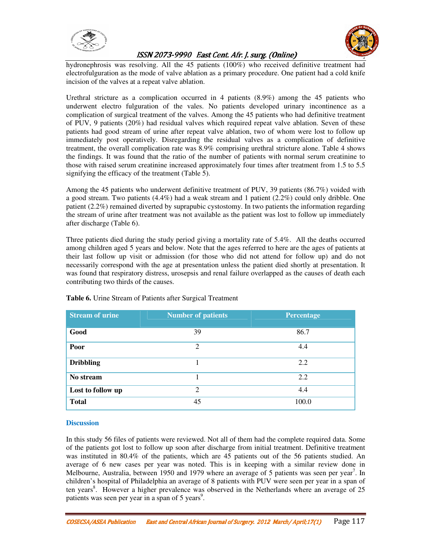



hydronephrosis was resolving. All the 45 patients (100%) who received definitive treatment had electrofulguration as the mode of valve ablation as a primary procedure. One patient had a cold knife incision of the valves at a repeat valve ablation.

Urethral stricture as a complication occurred in 4 patients (8.9%) among the 45 patients who underwent electro fulguration of the vales. No patients developed urinary incontinence as a complication of surgical treatment of the valves. Among the 45 patients who had definitive treatment of PUV, 9 patients (20%) had residual valves which required repeat valve ablation. Seven of these patients had good stream of urine after repeat valve ablation, two of whom were lost to follow up immediately post operatively. Disregarding the residual valves as a complication of definitive treatment, the overall complication rate was 8.9% comprising urethral stricture alone. Table 4 shows the findings. It was found that the ratio of the number of patients with normal serum creatinine to those with raised serum creatinine increased approximately four times after treatment from 1.5 to 5.5 signifying the efficacy of the treatment (Table 5).

Among the 45 patients who underwent definitive treatment of PUV, 39 patients (86.7%) voided with a good stream. Two patients (4.4%) had a weak stream and 1 patient (2.2%) could only dribble. One patient (2.2%) remained diverted by suprapubic cystostomy. In two patients the information regarding the stream of urine after treatment was not available as the patient was lost to follow up immediately after discharge (Table 6).

Three patients died during the study period giving a mortality rate of 5.4%. All the deaths occurred among children aged 5 years and below. Note that the ages referred to here are the ages of patients at their last follow up visit or admission (for those who did not attend for follow up) and do not necessarily correspond with the age at presentation unless the patient died shortly at presentation. It was found that respiratory distress, urosepsis and renal failure overlapped as the causes of death each contributing two thirds of the causes.

| <b>Stream of urine</b> | <b>Number of patients</b> | Percentage |
|------------------------|---------------------------|------------|
| Good                   | 39                        | 86.7       |
| Poor                   | 2                         | 4.4        |
| <b>Dribbling</b>       |                           | 2.2        |
| No stream              |                           | 2.2        |
| Lost to follow up      | 2                         | 4.4        |
| <b>Total</b>           | 45                        | 100.0      |

**Table 6.** Urine Stream of Patients after Surgical Treatment

### **Discussion**

In this study 56 files of patients were reviewed. Not all of them had the complete required data. Some of the patients got lost to follow up soon after discharge from initial treatment. Definitive treatment was instituted in 80.4% of the patients, which are 45 patients out of the 56 patients studied. An average of 6 new cases per year was noted. This is in keeping with a similar review done in Melbourne, Australia, between 1950 and 1979 where an average of 5 patients was seen per year<sup>7</sup>. In children's hospital of Philadelphia an average of 8 patients with PUV were seen per year in a span of ten years<sup>8</sup>. However a higher prevalence was observed in the Netherlands where an average of 25 patients was seen per year in a span of 5 years<sup>9</sup>.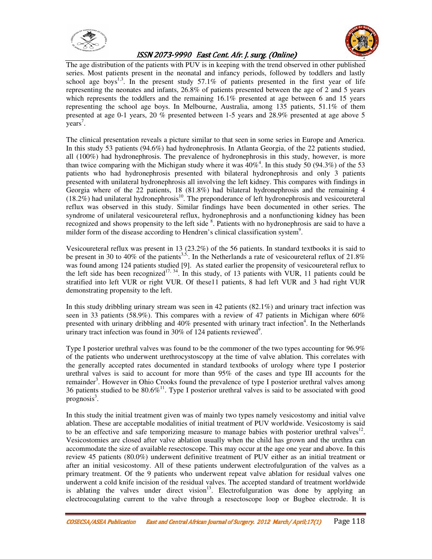



The age distribution of the patients with PUV is in keeping with the trend observed in other published series. Most patients present in the neonatal and infancy periods, followed by toddlers and lastly school age boys<sup>1,3</sup>. In the present study 57.1% of patients presented in the first year of life representing the neonates and infants, 26.8% of patients presented between the age of 2 and 5 years which represents the toddlers and the remaining 16.1% presented at age between 6 and 15 years representing the school age boys. In Melbourne, Australia, among 135 patients, 51.1% of them presented at age 0-1 years, 20 % presented between 1-5 years and 28.9% presented at age above 5 years<sup>7</sup>.

The clinical presentation reveals a picture similar to that seen in some series in Europe and America. In this study 53 patients (94.6%) had hydronephrosis. In Atlanta Georgia, of the 22 patients studied, all (100%) had hydronephrosis. The prevalence of hydronephrosis in this study, however, is more than twice comparing with the Michigan study where it was  $40\%$ <sup>4</sup>. In this study 50 (94.3%) of the 53 patients who had hydronephrosis presented with bilateral hydronephrosis and only 3 patients presented with unilateral hydronephrosis all involving the left kidney. This compares with findings in Georgia where of the 22 patients, 18 (81.8%) had bilateral hydronephrosis and the remaining 4  $(18.2\%)$  had unilateral hydronephrosis<sup>10</sup>. The preponderance of left hydronephrosis and vesicoureteral reflux was observed in this study. Similar findings have been documented in other series. The syndrome of unilateral vesicoureteral reflux, hydronephrosis and a nonfunctioning kidney has been recognized and shows propensity to the left side <sup>8</sup>. Patients with no hydronephrosis are said to have a milder form of the disease according to Hendren's clinical classification system<sup>9</sup>.

Vesicoureteral reflux was present in 13 (23.2%) of the 56 patients. In standard textbooks it is said to be present in 30 to 40% of the patients<sup>3,5,</sup>. In the Netherlands a rate of vesicoureteral reflux of 21.8% was found among 124 patients studied [9]. As stated earlier the propensity of vesicoureteral reflux to the left side has been recognized<sup>17, 34</sup>. In this study, of 13 patients with VUR, 11 patients could be stratified into left VUR or right VUR. Of these11 patients, 8 had left VUR and 3 had right VUR demonstrating propensity to the left.

In this study dribbling urinary stream was seen in 42 patients (82.1%) and urinary tract infection was seen in 33 patients (58.9%). This compares with a review of 47 patients in Michigan where 60% presented with urinary dribbling and 40% presented with urinary tract infection<sup>4</sup>. In the Netherlands urinary tract infection was found in  $30\%$  of 124 patients reviewed<sup>9</sup>.

Type I posterior urethral valves was found to be the commoner of the two types accounting for 96.9% of the patients who underwent urethrocystoscopy at the time of valve ablation. This correlates with the generally accepted rates documented in standard textbooks of urology where type I posterior urethral valves is said to account for more than 95% of the cases and type III accounts for the remainder<sup>3</sup>. However in Ohio Crooks found the prevalence of type I posterior urethral valves among 36 patients studied to be  $80.6\%$ <sup>11</sup>. Type I posterior urethral valves is said to be associated with good  $prognosis<sup>3</sup>$ .

In this study the initial treatment given was of mainly two types namely vesicostomy and initial valve ablation. These are acceptable modalities of initial treatment of PUV worldwide. Vesicostomy is said to be an effective and safe temporizing measure to manage babies with posterior urethral valves $12$ . Vesicostomies are closed after valve ablation usually when the child has grown and the urethra can accommodate the size of available resectoscope. This may occur at the age one year and above. In this review 45 patients (80.0%) underwent definitive treatment of PUV either as an initial treatment or after an initial vesicostomy. All of these patients underwent electrofulguration of the valves as a primary treatment. Of the 9 patients who underwent repeat valve ablation for residual valves one underwent a cold knife incision of the residual valves. The accepted standard of treatment worldwide is ablating the valves under direct vision<sup>13</sup>. Electrofulguration was done by applying an electrocoagulating current to the valve through a resectoscope loop or Bugbee electrode. It is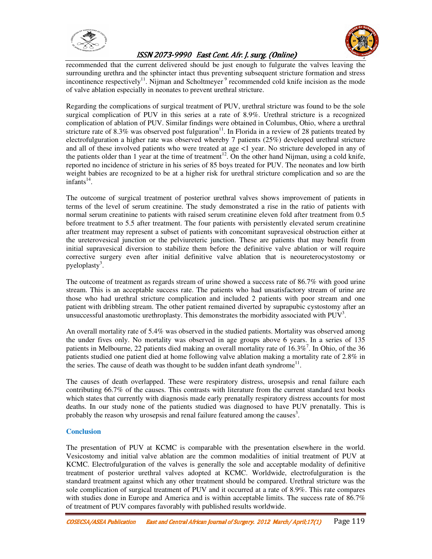



recommended that the current delivered should be just enough to fulgurate the valves leaving the surrounding urethra and the sphincter intact thus preventing subsequent stricture formation and stress incontinence respectively<sup>11</sup>. Nijman and Scholtmeyer<sup>9</sup> recommended cold knife incision as the mode of valve ablation especially in neonates to prevent urethral stricture.

Regarding the complications of surgical treatment of PUV, urethral stricture was found to be the sole surgical complication of PUV in this series at a rate of 8.9%. Urethral stricture is a recognized complication of ablation of PUV. Similar findings were obtained in Columbus, Ohio, where a urethral stricture rate of 8.3% was observed post fulguration $^{11}$ . In Florida in a review of 28 patients treated by electrofulguration a higher rate was observed whereby 7 patients (25%) developed urethral stricture and all of these involved patients who were treated at age <1 year. No stricture developed in any of the patients older than 1 year at the time of treatment<sup>12</sup>. On the other hand Nijman, using a cold knife, reported no incidence of stricture in his series of 85 boys treated for PUV. The neonates and low birth weight babies are recognized to be at a higher risk for urethral stricture complication and so are the  $in$ fants<sup>14</sup>.

The outcome of surgical treatment of posterior urethral valves shows improvement of patients in terms of the level of serum creatinine. The study demonstrated a rise in the ratio of patients with normal serum creatinine to patients with raised serum creatinine eleven fold after treatment from 0.5 before treatment to 5.5 after treatment. The four patients with persistently elevated serum creatinine after treatment may represent a subset of patients with concomitant supravesical obstruction either at the ureterovesical junction or the pelviureteric junction. These are patients that may benefit from initial supravesical diversion to stabilize them before the definitive valve ablation or will require corrective surgery even after initial definitive valve ablation that is neoureterocystostomy or pyeloplasty<sup>3</sup>.

The outcome of treatment as regards stream of urine showed a success rate of 86.7% with good urine stream. This is an acceptable success rate. The patients who had unsatisfactory stream of urine are those who had urethral stricture complication and included 2 patients with poor stream and one patient with dribbling stream. The other patient remained diverted by suprapubic cystostomy after an unsuccessful anastomotic urethroplasty. This demonstrates the morbidity associated with  $PUV<sup>3</sup>$ .

An overall mortality rate of 5.4% was observed in the studied patients. Mortality was observed among the under fives only. No mortality was observed in age groups above 6 years. In a series of 135 patients in Melbourne, 22 patients died making an overall mortality rate of  $16.3\%$ <sup>7</sup>. In Ohio, of the 36 patients studied one patient died at home following valve ablation making a mortality rate of 2.8% in the series. The cause of death was thought to be sudden infant death syndrome<sup>11</sup>.

The causes of death overlapped. These were respiratory distress, urosepsis and renal failure each contributing 66.7% of the causes. This contrasts with literature from the current standard text books which states that currently with diagnosis made early prenatally respiratory distress accounts for most deaths. In our study none of the patients studied was diagnosed to have PUV prenatally. This is probably the reason why urosepsis and renal failure featured among the causes<sup>3</sup>.

### **Conclusion**

The presentation of PUV at KCMC is comparable with the presentation elsewhere in the world. Vesicostomy and initial valve ablation are the common modalities of initial treatment of PUV at KCMC. Electrofulguration of the valves is generally the sole and acceptable modality of definitive treatment of posterior urethral valves adopted at KCMC. Worldwide, electrofulguration is the standard treatment against which any other treatment should be compared. Urethral stricture was the sole complication of surgical treatment of PUV and it occurred at a rate of 8.9%. This rate compares with studies done in Europe and America and is within acceptable limits. The success rate of 86.7% of treatment of PUV compares favorably with published results worldwide.